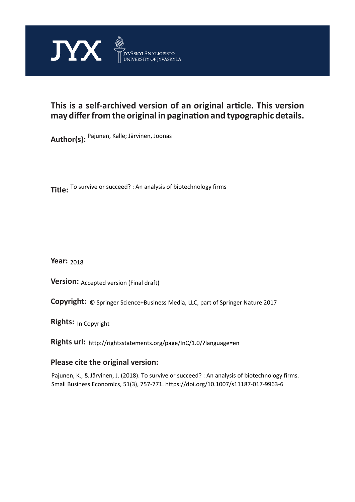

# **This is a self-archived version of an original article. This version may differ from the original in pagination and typographic details.**

**Author(s):**  Pajunen, Kalle; Järvinen, Joonas

**Title:**  To survive or succeed? : An analysis of biotechnology firms

**Year:**  2018

**Version: Accepted version (Final draft)** 

**Version:** Accepted version (Final draft)<br>**Copyright:** © Springer Science+Business Media, LLC, part of Springer Nature 2017

**Rights:** In Copyright

**Rights url:**  http://rightsstatements.org/page/InC/1.0/?language=en

## **Please cite the original version:**

Pajunen, K., & Järvinen, J. (2018). To survive or succeed? : An analysis of biotechnology firms. Small Business Economics, 51(3), 757-771. https://doi.org/10.1007/s11187-017-9963-6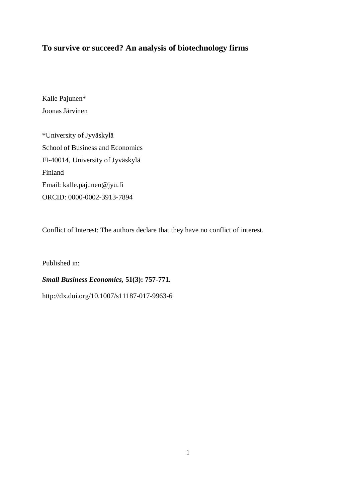## **To survive or succeed? An analysis of biotechnology firms**

Kalle Pajunen\* Joonas Järvinen

\*University of Jyväskylä School of Business and Economics FI-40014, University of Jyväskylä Finland Email: kalle.pajunen@jyu.fi ORCID: 0000-0002-3913-7894

Conflict of Interest: The authors declare that they have no conflict of interest.

Published in:

## *Small Business Economics,* **51(3): 757-771.**

http://dx.doi.org/10.1007/s11187-017-9963-6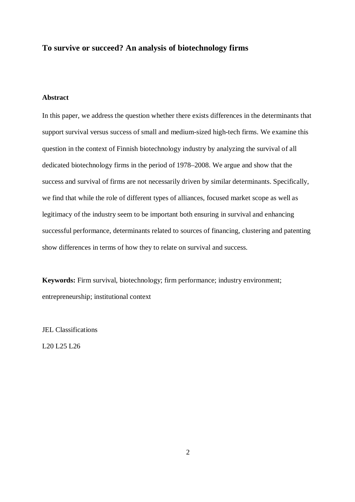## **To survive or succeed? An analysis of biotechnology firms**

### **Abstract**

In this paper, we address the question whether there exists differences in the determinants that support survival versus success of small and medium-sized high-tech firms. We examine this question in the context of Finnish biotechnology industry by analyzing the survival of all dedicated biotechnology firms in the period of 1978–2008. We argue and show that the success and survival of firms are not necessarily driven by similar determinants. Specifically, we find that while the role of different types of alliances, focused market scope as well as legitimacy of the industry seem to be important both ensuring in survival and enhancing successful performance, determinants related to sources of financing, clustering and patenting show differences in terms of how they to relate on survival and success.

**Keywords:** Firm survival, biotechnology; firm performance; industry environment; entrepreneurship; institutional context

JEL Classifications

L20 L25 L26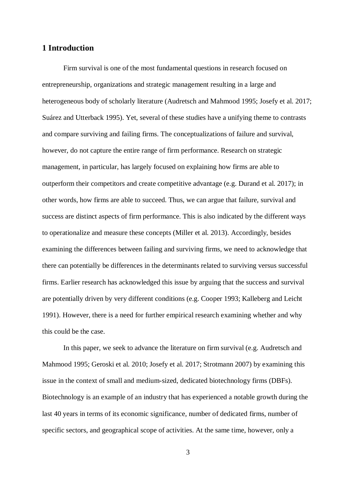## **1 Introduction**

Firm survival is one of the most fundamental questions in research focused on entrepreneurship, organizations and strategic management resulting in a large and heterogeneous body of scholarly literature (Audretsch and Mahmood 1995; Josefy et al. 2017; Suárez and Utterback 1995). Yet, several of these studies have a unifying theme to contrasts and compare surviving and failing firms. The conceptualizations of failure and survival, however, do not capture the entire range of firm performance. Research on strategic management, in particular, has largely focused on explaining how firms are able to outperform their competitors and create competitive advantage (e.g. Durand et al. 2017); in other words, how firms are able to succeed. Thus, we can argue that failure, survival and success are distinct aspects of firm performance. This is also indicated by the different ways to operationalize and measure these concepts (Miller et al. 2013). Accordingly, besides examining the differences between failing and surviving firms, we need to acknowledge that there can potentially be differences in the determinants related to surviving versus successful firms. Earlier research has acknowledged this issue by arguing that the success and survival are potentially driven by very different conditions (e.g. Cooper 1993; Kalleberg and Leicht 1991). However, there is a need for further empirical research examining whether and why this could be the case.

In this paper, we seek to advance the literature on firm survival (e.g. Audretsch and Mahmood 1995; Geroski et al. 2010; Josefy et al. 2017; Strotmann 2007) by examining this issue in the context of small and medium-sized, dedicated biotechnology firms (DBFs). Biotechnology is an example of an industry that has experienced a notable growth during the last 40 years in terms of its economic significance, number of dedicated firms, number of specific sectors, and geographical scope of activities. At the same time, however, only a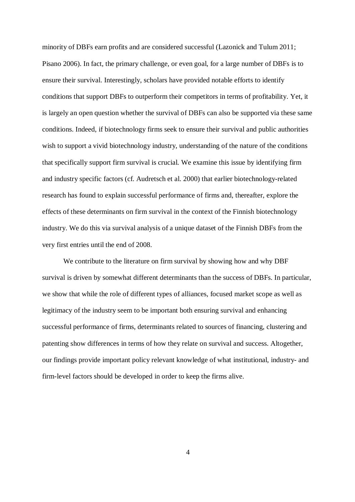minority of DBFs earn profits and are considered successful (Lazonick and Tulum 2011; Pisano 2006). In fact, the primary challenge, or even goal, for a large number of DBFs is to ensure their survival. Interestingly, scholars have provided notable efforts to identify conditions that support DBFs to outperform their competitors in terms of profitability. Yet, it is largely an open question whether the survival of DBFs can also be supported via these same conditions. Indeed, if biotechnology firms seek to ensure their survival and public authorities wish to support a vivid biotechnology industry, understanding of the nature of the conditions that specifically support firm survival is crucial. We examine this issue by identifying firm and industry specific factors (cf. Audretsch et al. 2000) that earlier biotechnology-related research has found to explain successful performance of firms and, thereafter, explore the effects of these determinants on firm survival in the context of the Finnish biotechnology industry. We do this via survival analysis of a unique dataset of the Finnish DBFs from the very first entries until the end of 2008.

We contribute to the literature on firm survival by showing how and why DBF survival is driven by somewhat different determinants than the success of DBFs. In particular, we show that while the role of different types of alliances, focused market scope as well as legitimacy of the industry seem to be important both ensuring survival and enhancing successful performance of firms, determinants related to sources of financing, clustering and patenting show differences in terms of how they relate on survival and success. Altogether, our findings provide important policy relevant knowledge of what institutional, industry- and firm-level factors should be developed in order to keep the firms alive.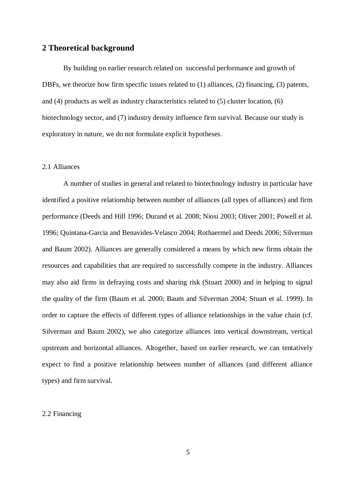## **2 Theoretical background**

By building on earlier research related on successful performance and growth of DBFs, we theorize how firm specific issues related to (1) alliances, (2) financing, (3) patents, and (4) products as well as industry characteristics related to (5) cluster location, (6) biotechnology sector, and (7) industry density influence firm survival. Because our study is exploratory in nature, we do not formulate explicit hypotheses.

#### 2.1 Alliances

A number of studies in general and related to biotechnology industry in particular have identified a positive relationship between number of alliances (all types of alliances) and firm performance (Deeds and Hill 1996; Durand et al. 2008; Niosi 2003; Oliver 2001; Powell et al. 1996; Quintana-Garcia and Benavides-Velasco 2004; Rothaermel and Deeds 2006; Silverman and Baum 2002). Alliances are generally considered a means by which new firms obtain the resources and capabilities that are required to successfully compete in the industry. Alliances may also aid firms in defraying costs and sharing risk (Stuart 2000) and in helping to signal the quality of the firm (Baum et al. 2000; Baum and Silverman 2004; Stuart et al. 1999). In order to capture the effects of different types of alliance relationships in the value chain (cf. Silverman and Baum 2002), we also categorize alliances into vertical downstream, vertical upstream and horizontal alliances. Altogether, based on earlier research, we can tentatively expect to find a positive relationship between number of alliances (and different alliance types) and firm survival.

### 2.2 Financing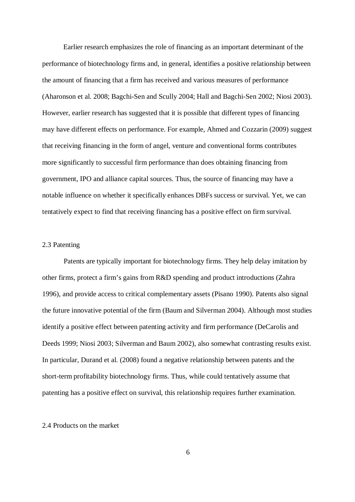Earlier research emphasizes the role of financing as an important determinant of the performance of biotechnology firms and, in general, identifies a positive relationship between the amount of financing that a firm has received and various measures of performance (Aharonson et al. 2008; Bagchi-Sen and Scully 2004; Hall and Bagchi-Sen 2002; Niosi 2003). However, earlier research has suggested that it is possible that different types of financing may have different effects on performance. For example, Ahmed and Cozzarin (2009) suggest that receiving financing in the form of angel, venture and conventional forms contributes more significantly to successful firm performance than does obtaining financing from government, IPO and alliance capital sources. Thus, the source of financing may have a notable influence on whether it specifically enhances DBFs success or survival. Yet, we can tentatively expect to find that receiving financing has a positive effect on firm survival.

## 2.3 Patenting

Patents are typically important for biotechnology firms. They help delay imitation by other firms, protect a firm's gains from R&D spending and product introductions (Zahra 1996), and provide access to critical complementary assets (Pisano 1990). Patents also signal the future innovative potential of the firm (Baum and Silverman 2004). Although most studies identify a positive effect between patenting activity and firm performance (DeCarolis and Deeds 1999; Niosi 2003; Silverman and Baum 2002), also somewhat contrasting results exist. In particular, Durand et al. (2008) found a negative relationship between patents and the short-term profitability biotechnology firms. Thus, while could tentatively assume that patenting has a positive effect on survival, this relationship requires further examination.

#### 2.4 Products on the market

6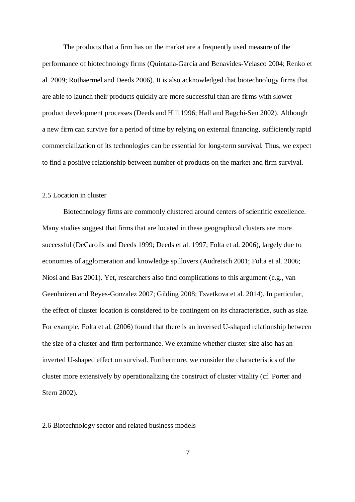The products that a firm has on the market are a frequently used measure of the performance of biotechnology firms (Quintana-Garcia and Benavides-Velasco 2004; Renko et al. 2009; Rothaermel and Deeds 2006). It is also acknowledged that biotechnology firms that are able to launch their products quickly are more successful than are firms with slower product development processes (Deeds and Hill 1996; Hall and Bagchi-Sen 2002). Although a new firm can survive for a period of time by relying on external financing, sufficiently rapid commercialization of its technologies can be essential for long-term survival. Thus, we expect to find a positive relationship between number of products on the market and firm survival.

#### 2.5 Location in cluster

Biotechnology firms are commonly clustered around centers of scientific excellence. Many studies suggest that firms that are located in these geographical clusters are more successful (DeCarolis and Deeds 1999; Deeds et al. 1997; Folta et al. 2006), largely due to economies of agglomeration and knowledge spillovers (Audretsch 2001; Folta et al. 2006; Niosi and Bas 2001). Yet, researchers also find complications to this argument (e.g., van Geenhuizen and Reyes-Gonzalez 2007; Gilding 2008; Tsvetkova et al. 2014). In particular, the effect of cluster location is considered to be contingent on its characteristics, such as size. For example, Folta et al. (2006) found that there is an inversed U-shaped relationship between the size of a cluster and firm performance. We examine whether cluster size also has an inverted U-shaped effect on survival. Furthermore, we consider the characteristics of the cluster more extensively by operationalizing the construct of cluster vitality (cf. Porter and Stern 2002).

2.6 Biotechnology sector and related business models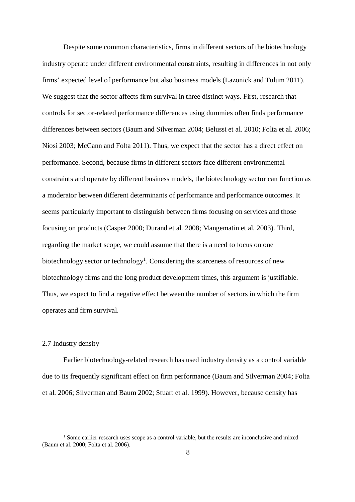<span id="page-8-0"></span>Despite some common characteristics, firms in different sectors of the biotechnology industry operate under different environmental constraints, resulting in differences in not only firms' expected level of performance but also business models (Lazonick and Tulum 2011). We suggest that the sector affects firm survival in three distinct ways. First, research that controls for sector-related performance differences using dummies often finds performance differences between sectors (Baum and Silverman 2004; Belussi et al. 2010; Folta et al. 2006; Niosi 2003; McCann and Folta 2011). Thus, we expect that the sector has a direct effect on performance. Second, because firms in different sectors face different environmental constraints and operate by different business models, the biotechnology sector can function as a moderator between different determinants of performance and performance outcomes. It seems particularly important to distinguish between firms focusing on services and those focusing on products (Casper 2000; Durand et al. 2008; Mangematin et al. 2003). Third, regarding the market scope, we could assume that there is a need to focus on one biotechnology sector or technology<sup>[1](#page-8-0)</sup>. Considering the scarceness of resources of new biotechnology firms and the long product development times, this argument is justifiable. Thus, we expect to find a negative effect between the number of sectors in which the firm operates and firm survival.

### 2.7 Industry density

Earlier biotechnology-related research has used industry density as a control variable due to its frequently significant effect on firm performance (Baum and Silverman 2004; Folta et al. 2006; Silverman and Baum 2002; Stuart et al. 1999). However, because density has

<sup>&</sup>lt;sup>1</sup> Some earlier research uses scope as a control variable, but the results are inconclusive and mixed (Baum et al. 2000; Folta et al. 2006).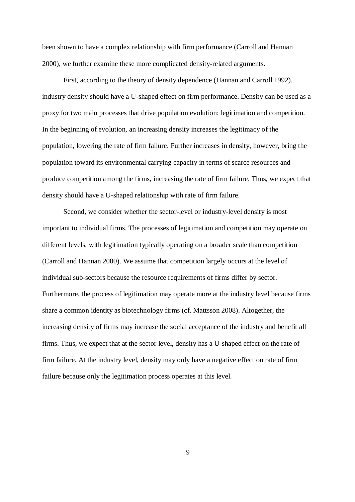been shown to have a complex relationship with firm performance (Carroll and Hannan 2000), we further examine these more complicated density-related arguments.

First, according to the theory of density dependence (Hannan and Carroll 1992), industry density should have a U-shaped effect on firm performance. Density can be used as a proxy for two main processes that drive population evolution: legitimation and competition. In the beginning of evolution, an increasing density increases the legitimacy of the population, lowering the rate of firm failure. Further increases in density, however, bring the population toward its environmental carrying capacity in terms of scarce resources and produce competition among the firms, increasing the rate of firm failure. Thus, we expect that density should have a U-shaped relationship with rate of firm failure.

Second, we consider whether the sector-level or industry-level density is most important to individual firms. The processes of legitimation and competition may operate on different levels, with legitimation typically operating on a broader scale than competition (Carroll and Hannan 2000). We assume that competition largely occurs at the level of individual sub-sectors because the resource requirements of firms differ by sector. Furthermore, the process of legitimation may operate more at the industry level because firms share a common identity as biotechnology firms (cf. Mattsson 2008). Altogether, the increasing density of firms may increase the social acceptance of the industry and benefit all firms. Thus, we expect that at the sector level, density has a U-shaped effect on the rate of firm failure. At the industry level, density may only have a negative effect on rate of firm failure because only the legitimation process operates at this level.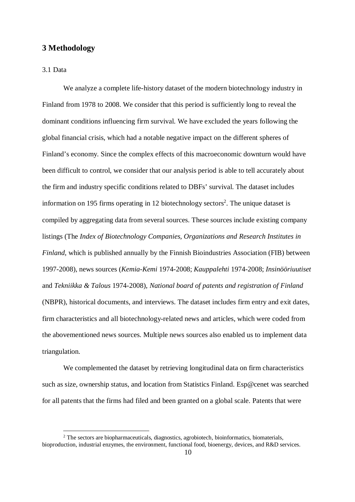### <span id="page-10-0"></span>**3 Methodology**

3.1 Data

We analyze a complete life-history dataset of the modern biotechnology industry in Finland from 1978 to 2008. We consider that this period is sufficiently long to reveal the dominant conditions influencing firm survival. We have excluded the years following the global financial crisis, which had a notable negative impact on the different spheres of Finland's economy. Since the complex effects of this macroeconomic downturn would have been difficult to control, we consider that our analysis period is able to tell accurately about the firm and industry specific conditions related to DBFs' survival. The dataset includes information on 195 firms operating in 1[2](#page-10-0) biotechnology sectors<sup>2</sup>. The unique dataset is compiled by aggregating data from several sources. These sources include existing company listings (The *Index of Biotechnology Companies, Organizations and Research Institutes in Finland*, which is published annually by the Finnish Bioindustries Association (FIB) between 1997-2008), news sources (*Kemia-Kemi* 1974-2008; *Kauppalehti* 1974-2008; *Insinööriuutiset* and *Tekniikka & Talous* 1974-2008), *National board of patents and registration of Finland* (NBPR), historical documents, and interviews. The dataset includes firm entry and exit dates, firm characteristics and all biotechnology-related news and articles, which were coded from the abovementioned news sources. Multiple news sources also enabled us to implement data triangulation.

We complemented the dataset by retrieving longitudinal data on firm characteristics such as size, ownership status, and location from Statistics Finland. Esp@cenet was searched for all patents that the firms had filed and been granted on a global scale. Patents that were

<sup>&</sup>lt;sup>2</sup> The sectors are biopharmaceuticals, diagnostics, agrobiotech, bioinformatics, biomaterials, bioproduction, industrial enzymes, the environment, functional food, bioenergy, devices, and R&D services.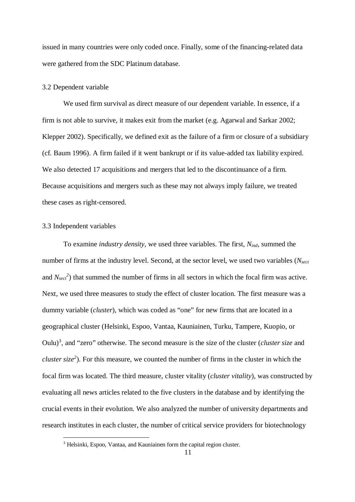<span id="page-11-0"></span>issued in many countries were only coded once. Finally, some of the financing-related data were gathered from the SDC Platinum database.

#### 3.2 Dependent variable

We used firm survival as direct measure of our dependent variable. In essence, if a firm is not able to survive, it makes exit from the market (e.g. Agarwal and Sarkar 2002; Klepper 2002). Specifically, we defined exit as the failure of a firm or closure of a subsidiary (cf. Baum 1996). A firm failed if it went bankrupt or if its value-added tax liability expired. We also detected 17 acquisitions and mergers that led to the discontinuance of a firm. Because acquisitions and mergers such as these may not always imply failure, we treated these cases as right-censored.

#### 3.3 Independent variables

To examine *industry density*, we used three variables. The first, *Nind*, summed the number of firms at the industry level. Second, at the sector level, we used two variables (*Nsect* and  $N_{sect}^2$ ) that summed the number of firms in all sectors in which the focal firm was active. Next, we used three measures to study the effect of cluster location. The first measure was a dummy variable (*cluster*), which was coded as "one" for new firms that are located in a geographical cluster (Helsinki, Espoo, Vantaa, Kauniainen, Turku, Tampere, Kuopio, or Oulu)[3](#page-11-0) , and "zero" otherwise. The second measure is the size of the cluster (*cluster size* and *cluster size<sup>2</sup>* ). For this measure, we counted the number of firms in the cluster in which the focal firm was located. The third measure, cluster vitality (*cluster vitality*), was constructed by evaluating all news articles related to the five clusters in the database and by identifying the crucial events in their evolution. We also analyzed the number of university departments and research institutes in each cluster, the number of critical service providers for biotechnology

<sup>&</sup>lt;sup>3</sup> Helsinki, Espoo, Vantaa, and Kauniainen form the capital region cluster.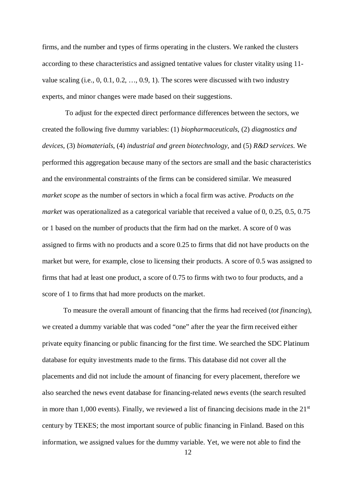firms, and the number and types of firms operating in the clusters. We ranked the clusters according to these characteristics and assigned tentative values for cluster vitality using 11 value scaling (i.e., 0, 0.1, 0.2, …, 0.9, 1). The scores were discussed with two industry experts, and minor changes were made based on their suggestions.

 To adjust for the expected direct performance differences between the sectors, we created the following five dummy variables: (1) *biopharmaceuticals*, (2) *diagnostics and devices*, (3) *biomaterials*, (4) *industrial and green biotechnology*, and (5) *R&D services*. We performed this aggregation because many of the sectors are small and the basic characteristics and the environmental constraints of the firms can be considered similar. We measured *market scope* as the number of sectors in which a focal firm was active. *Products on the market* was operationalized as a categorical variable that received a value of 0, 0.25, 0.5, 0.75 or 1 based on the number of products that the firm had on the market. A score of 0 was assigned to firms with no products and a score 0.25 to firms that did not have products on the market but were, for example, close to licensing their products. A score of 0.5 was assigned to firms that had at least one product, a score of 0.75 to firms with two to four products, and a score of 1 to firms that had more products on the market.

To measure the overall amount of financing that the firms had received (*tot financing*), we created a dummy variable that was coded "one" after the year the firm received either private equity financing or public financing for the first time. We searched the SDC Platinum database for equity investments made to the firms. This database did not cover all the placements and did not include the amount of financing for every placement, therefore we also searched the news event database for financing-related news events (the search resulted in more than 1,000 events). Finally, we reviewed a list of financing decisions made in the  $21<sup>st</sup>$ century by TEKES; the most important source of public financing in Finland. Based on this information, we assigned values for the dummy variable. Yet, we were not able to find the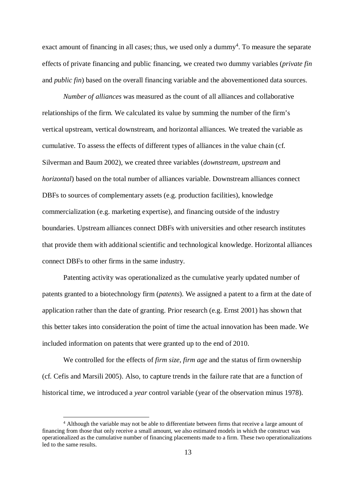<span id="page-13-0"></span>exact amount of financing in all cases; thus, we used only a dummy<sup>[4](#page-13-0)</sup>. To measure the separate effects of private financing and public financing, we created two dummy variables (*private fin* and *public fin*) based on the overall financing variable and the abovementioned data sources.

*Number of alliances* was measured as the count of all alliances and collaborative relationships of the firm. We calculated its value by summing the number of the firm's vertical upstream, vertical downstream, and horizontal alliances. We treated the variable as cumulative. To assess the effects of different types of alliances in the value chain (cf. Silverman and Baum 2002), we created three variables (*downstream*, *upstream* and *horizontal*) based on the total number of alliances variable. Downstream alliances connect DBFs to sources of complementary assets (e.g. production facilities), knowledge commercialization (e.g. marketing expertise), and financing outside of the industry boundaries. Upstream alliances connect DBFs with universities and other research institutes that provide them with additional scientific and technological knowledge. Horizontal alliances connect DBFs to other firms in the same industry.

Patenting activity was operationalized as the cumulative yearly updated number of patents granted to a biotechnology firm (*patents*). We assigned a patent to a firm at the date of application rather than the date of granting. Prior research (e.g. Ernst 2001) has shown that this better takes into consideration the point of time the actual innovation has been made. We included information on patents that were granted up to the end of 2010.

We controlled for the effects of *firm size*, *firm age* and the status of firm ownership (cf. Cefis and Marsili 2005). Also, to capture trends in the failure rate that are a function of historical time, we introduced a *year* control variable (year of the observation minus 1978).

<sup>&</sup>lt;sup>4</sup> Although the variable may not be able to differentiate between firms that receive a large amount of financing from those that only receive a small amount, we also estimated models in which the construct was operationalized as the cumulative number of financing placements made to a firm. These two operationalizations led to the same results.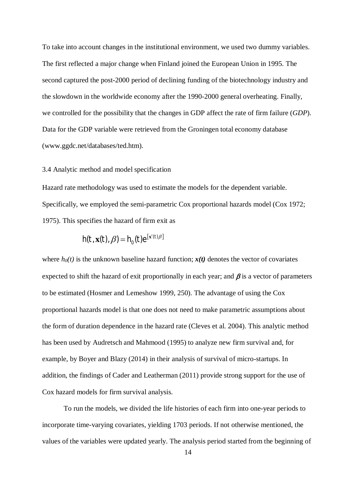To take into account changes in the institutional environment, we used two dummy variables. The first reflected a major change when Finland joined the European Union in 1995. The second captured the post-2000 period of declining funding of the biotechnology industry and the slowdown in the worldwide economy after the 1990-2000 general overheating. Finally, we controlled for the possibility that the changes in GDP affect the rate of firm failure (*GDP*). Data for the GDP variable were retrieved from the Groningen total economy database (www.ggdc.net/databases/ted.htm).

#### 3.4 Analytic method and model specification

Hazard rate methodology was used to estimate the models for the dependent variable. Specifically, we employed the semi-parametric Cox proportional hazards model (Cox 1972; 1975). This specifies the hazard of firm exit as

$$
h(t, \mathbf{x}(t), \beta) = h_0(t) e^{[\mathbf{x}'(t)\beta]}
$$

where  $h_0(t)$  is the unknown baseline hazard function;  $x(t)$  denotes the vector of covariates expected to shift the hazard of exit proportionally in each year; and  $\beta$  is a vector of parameters to be estimated (Hosmer and Lemeshow 1999, 250). The advantage of using the Cox proportional hazards model is that one does not need to make parametric assumptions about the form of duration dependence in the hazard rate (Cleves et al. 2004). This analytic method has been used by Audretsch and Mahmood (1995) to analyze new firm survival and, for example, by Boyer and Blazy (2014) in their analysis of survival of micro-startups. In addition, the findings of Cader and Leatherman (2011) provide strong support for the use of Cox hazard models for firm survival analysis.

To run the models, we divided the life histories of each firm into one-year periods to incorporate time-varying covariates, yielding 1703 periods. If not otherwise mentioned, the values of the variables were updated yearly. The analysis period started from the beginning of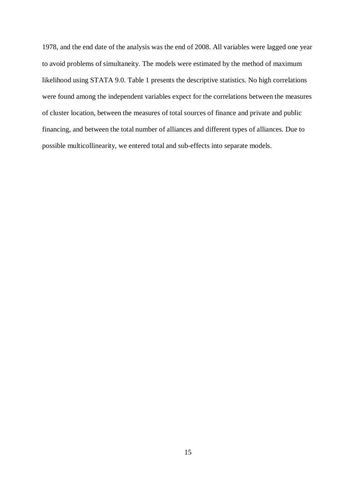1978, and the end date of the analysis was the end of 2008. All variables were lagged one year to avoid problems of simultaneity. The models were estimated by the method of maximum likelihood using STATA 9.0. Table 1 presents the descriptive statistics. No high correlations were found among the independent variables expect for the correlations between the measures of cluster location, between the measures of total sources of finance and private and public financing, and between the total number of alliances and different types of alliances. Due to possible multicollinearity, we entered total and sub-effects into separate models.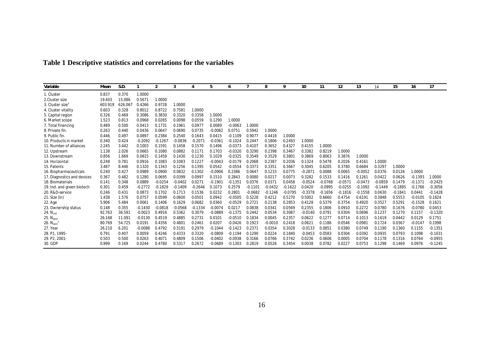| Table 1 Descriptive statistics and correlations for the variables |  |  |
|-------------------------------------------------------------------|--|--|
|-------------------------------------------------------------------|--|--|

| Variable                     | Mean    | S.D.    |           | 2         | 3         |           | 5         | 6         |           | 8         | 9         | 10        | 11        | 12        | 13        | 14        | 15        | 16        | 17        |
|------------------------------|---------|---------|-----------|-----------|-----------|-----------|-----------|-----------|-----------|-----------|-----------|-----------|-----------|-----------|-----------|-----------|-----------|-----------|-----------|
| 1. Cluster                   | 0.837   | 0.370   | 1.0000    |           |           |           |           |           |           |           |           |           |           |           |           |           |           |           |           |
| 2. Cluster size              | 19.403  | 15.086  | 0.5671    | 1.0000    |           |           |           |           |           |           |           |           |           |           |           |           |           |           |           |
| 3. Cluster size <sup>2</sup> | 603.919 | 626.067 | 0.4266    | 0.9728    | 1.0000    |           |           |           |           |           |           |           |           |           |           |           |           |           |           |
| 4. Cluster vitality          | 0.603   | 0.328   | 0.8012    | 0.8722    | 0.7581    | 1.0000    |           |           |           |           |           |           |           |           |           |           |           |           |           |
| 5. Capital region            | 0.326   | 0.469   | 0.3086    | 0.3830    | 0.3320    | 0.3358    | 1.0000    |           |           |           |           |           |           |           |           |           |           |           |           |
| 6. Market scope              | 1.523   | 0.813   | 0.0968    | 0.0265    | 0.0098    | 0.0559    | 0.1290    | 1.0000    |           |           |           |           |           |           |           |           |           |           |           |
| 7. Total financing           | 0.489   | 0.500   | 0.0413    | 0.1731    | 0.1961    | 0.0977    | 0.0089    | $-0.0063$ | 1.0000    |           |           |           |           |           |           |           |           |           |           |
| 8. Private fin.              | 0.263   | 0.440   | 0.0436    | 0.0647    | 0.0690    | 0.0735    | $-0.0082$ | 0.0751    | 0.5942    | 1.0000    |           |           |           |           |           |           |           |           |           |
| 9. Public fin.               | 0.446   | 0.497   | 0.0897    | 0.2384    | 0.2540    | 0.1643    | 0.0415    | $-0.1109$ | 0.9077    | 0.4418    | 1.0000    |           |           |           |           |           |           |           |           |
| 10. Products in market       | 0.340   | 0.424   | $-0.2092$ | $-0.126$  | $-0.0836$ | $-0.2071$ | $-0.036$  | $-0.1024$ | 0.2447    | 0.1806    | 0.2493    | 1.0000    |           |           |           |           |           |           |           |
| 11. Number of alliances      | 2.245   | 3.442   | 0.1003    | 0.1591    | 0.1458    | 0.1570    | 0.1496    | $-0.0373$ | 0.4107    | 0.3652    | 0.4327    | 0.4155    | 1.0000    |           |           |           |           |           |           |
| 12. Upstream                 | 1.138   | 2.026   | 0.0665    | 0.1080    | 0.0882    | 0.1171    | 0.1703    | $-0.0320$ | 0.3290    | 0.2398    | 0.3467    | 0.3382    | 0.8219    | 1.0000    |           |           |           |           |           |
| 13. Downstream               | 0.856   | 1.669   | 0.0815    | 0.1459    | 0.1430    | 0.1230    | 0.1029    | $-0.0325$ | 0.3549    | 0.3529    | 0.3801    | 0.3869    | 0.8063    | 0.3876    | 1.0000    |           |           |           |           |
| 14. Horizontal               | 0.248   | 0.781   | 0.0916    | 0.1083    | 0.1083    | 0.1227    | $-0.0043$ | $-0.0179$ | 0.2068    | 0.2387    | 0.2036    | 0.1324    | 0.5478    | 0.2026    | 0.4161    | 1.0000    |           |           |           |
| 15. Patents                  | 3.487   | 8.446   | 0.1320    | 0.1343    | 0.1256    | 0.1395    | 0.0542    | $-0.0554$ | 0.3373    | 0.3351    | 0.3667    | 0.3045    | 0.6205    | 0.3780    | 0.6684    | 0.3297    | 1.0000    |           |           |
| 16. Biopharmaceuticals       | 0.240   | 0.427   | 0.0989    | 0.0900    | 0.0832    | 0.1302    | $-0.0906$ | 0.2386    | 0.0647    | 0.1233    | 0.0775    | $-0.2871$ | 0.0088    | 0.0065    | $-0.0052$ | 0.0376    | 0.0126    | 1.0000    |           |
| 17. Diagnostics and devices  | 0.367   | 0.482   | 0.1280    | 0.0695    | 0.0399    | 0.0997    | 0.1510    | 0.2843    | 0.0080    | 0.0217    | 0.0073    | 0.3282    | 0.1533    | 0.1416    | 0.1261    | 0.0422    | 0.0626    | $-0.1393$ | 1.0000    |
| 18. Biomaterials             | 0.141   | 0.348   | 0.0889    | $-0.0254$ | $-0.0402$ | 0.0271    | $-0.1901$ | $-0.1351$ | 0.0376    | 0.0371    | 0.0458    | $-0.0524$ | $-0.0768$ | $-0.0571$ | $-0.0473$ | $-0.0859$ | 0.1479    | $-0.1371$ | $-0.2425$ |
| 19. Ind. and green biotech   | 0.301   | 0.459   | $-0.2772$ | $-0.1829$ | $-0.1409$ | $-0.2646$ | 0.1073    | 0.2579    | $-0.1101$ | $-0.0432$ | $-0.1622$ | 0.0420    | $-0.0995$ | $-0.0255$ | $-0.1092$ | $-0.1449$ | $-0.1895$ | $-0.1766$ | $-0.3056$ |
| 20. R&D-service              | 0.246   | 0.431   | 0.0873    | 0.1702    | 0.1713    | 0.1536    | 0.0232    | 0.2801    | $-0.0682$ | $-0.1246$ | $-0.0795$ | $-0.3378$ | $-0.1656$ | $-0.1816$ | $-0.1558$ | 0.0630    | $-0.1841$ | 0.0441    | $-0.1428$ |
| 21. Size (In)                | 1.438   | 1.576   | 0.0757    | 0.0599    | 0.0600    | 0.0501    | 0.0942    | $-0.0505$ | 0.5228    | 0.4212    | 0.5270    | 0.5002    | 0.6660    | 0.4754    | 0.6191    | 0.3848    | 0.5553    | $-0.0105$ | 0.1824    |
| 22. Age                      | 5.906   | 5.484   | 0.0061    | 0.1406    | 0.1629    | 0.0682    | 0.0360    | $-0.0529$ | 0.2721    | 0.2138    | 0.2853    | 0.4128    | 0.5379    | 0.3754    | 0.4920    | 0.3527    | 0.5291    | $-0.1528$ | 0.1621    |
| 23. Ownership status         | 0.148   | 0.355   | $-0.1430$ | $-0.0818$ | $-0.0568$ | $-0.1334$ | $-0.0074$ | 0.0217    | 0.0838    | 0.0341    | 0.0569    | 0.2355    | 0.1806    | 0.0910    | 0.2272    | 0.0780    | 0.1676    | $-0.0780$ | 0.0453    |
| 24. $Nind$                   | 92.763  | 36.59'  | $-0.0023$ | 0.4916    | 0.5362    | 0.3079    | $-0.0889$ | $-0.1375$ | 0.2442    | 0.0534    | 0.3087    | $-0.0140$ | 0.0791    | 0.0304    | 0.0696    | 0.1237    | 0.1270    | 0.1157    | $-0.1320$ |
| 25. N <sub>sect</sub>        | 26.168  | 11.091  | $-0.0130$ | 0.4519    | 0.4885    | 0.2731    | 0.0101    | $-0.0510$ | 0.1834    | 0.0045    | 0.2357    | 0.0622    | 0.1277    | 0.0714    | 0.1013    | 0.1619    | 0.0442    | 0.0129    | 0.1751    |
| 26. N <sub>sect</sub>        | 80.769  | 54.725  | 0.0191    | 0.4356    | 0.4801    | 0.2461    | 0.0207    | $-0.0426$ | 0.1923    | $-0.0010$ | 0.2418    | 0.0621    | 0.1186    | 0.0546    | 0.0981    | 0.1724    | 0.0367    | $-0.0147$ | 0.1998    |
| 27. Year                     | 26.210  | 6.201   | $-0.0088$ | 0.4792    | 0.5191    | 0.2979    | $-0.1044$ | $-0.1423$ | 0.2371    | 0.0354    | 0.3028    | $-0.0133$ | 0.0851    | 0.0380    | 0.0749    | 0.1190    | 0.1360    | 0.1155    | $-0.1351$ |
| 28. P1, 1995-                | 0.791   | 0.407   | 0.0059    | 0.4246    | 0.4333    | 0.3320    | $-0.0809$ | $-0.1194$ | 0.1290    | 0.0224    | 0.1840    | $-0.0453$ | 0.0583    | 0.0304    | 0.0392    | 0.0935    | 0.0793    | 0.1098    | $-0.1031$ |
| 29. P2, 2001-                | 0.503   | 0.500   | 0.0263    | 0.4071    | 0.4809    | 0.1506    | $-0.0402$ | $-0.0938$ | 0.3166    | 0.0766    | 0.3742    | 0.0236    | 0.0606    | 0.0005    | 0.0704    | 0.1178    | 0.1316    | 0.0764    | $-0.0955$ |
| 30. GDP                      | 0.999   | 0.169   | 0.0244    | 0.4780    | 0.5317    | 0.2672    | $-0.0689$ | $-0.1303$ | 0.2819    | 0.0526    | 0.3454    | 0.0038    | 0.0782    | 0.0227    | 0.0753    | 0.1298    | 0.1469    | 0.0976    | $-0.1245$ |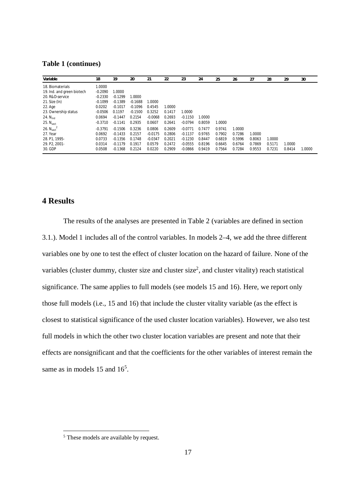<span id="page-17-0"></span>**Table 1 (continues)**

| Variable                           | 18        | 19        | 20        | 21        | 22     | 23        | 24     | 25     | 26     | 27     | 28     | 29     | 30     |
|------------------------------------|-----------|-----------|-----------|-----------|--------|-----------|--------|--------|--------|--------|--------|--------|--------|
| 18. Biomaterials                   | 1.0000    |           |           |           |        |           |        |        |        |        |        |        |        |
| 19. Ind. and green biotech         | $-0.2090$ | 1.0000    |           |           |        |           |        |        |        |        |        |        |        |
| 20. R&D-service                    | $-0.2330$ | $-0.1299$ | 1.0000    |           |        |           |        |        |        |        |        |        |        |
| $21.$ Size (In)                    | $-0.1099$ | $-0.1389$ | $-0.1688$ | 1.0000    |        |           |        |        |        |        |        |        |        |
| 22. Age                            | 0.0202    | $-0.1017$ | $-0.1096$ | 0.4545    | 1.0000 |           |        |        |        |        |        |        |        |
| 23. Ownership status               | $-0.0506$ | 0.1197    | $-0.1500$ | 0.3252    | 0.1417 | 1.0000    |        |        |        |        |        |        |        |
| 24. $N_{ind}$                      | 0.0694    | $-0.1447$ | 0.2154    | $-0.0068$ | 0.2693 | $-0.1150$ | 1.0000 |        |        |        |        |        |        |
| 25. $N_{\text{sect}}$              | $-0.3710$ | $-0.1141$ | 0.2935    | 0.0607    | 0.2641 | $-0.0794$ | 0.8059 | 1.0000 |        |        |        |        |        |
| 26. N <sub>sort</sub> <sup>2</sup> | $-0.3791$ | $-0.1506$ | 0.3236    | 0.0806    | 0.2609 | $-0.0771$ | 0.7477 | 0.9741 | 1.0000 |        |        |        |        |
| 27. Year                           | 0.0692    | $-0.1433$ | 0.2157    | $-0.0175$ | 0.2806 | $-0.1137$ | 0.9765 | 0.7902 | 0.7286 | 1.0000 |        |        |        |
| 28. P1. 1995-                      | 0.0733    | $-0.1356$ | 0.1748    | $-0.0347$ | 0.2021 | $-0.1230$ | 0.8447 | 0.6819 | 0.5996 | 0.8063 | 1.0000 |        |        |
| 29. P2. 2001-                      | 0.0314    | $-0.1179$ | 0.1917    | 0.0579    | 0.2472 | $-0.0555$ | 0.8196 | 0.6645 | 0.6764 | 0.7869 | 0.5171 | 1.0000 |        |
| 30. GDP                            | 0.0508    | $-0.1368$ | 0.2124    | 0.0220    | 0.2909 | $-0.0866$ | 0.9419 | 0.7564 | 0.7284 | 0.9553 | 0.7231 | 0.8414 | 1.0000 |

## **4 Results**

The results of the analyses are presented in Table 2 (variables are defined in section 3.1.). Model 1 includes all of the control variables. In models 2–4, we add the three different variables one by one to test the effect of cluster location on the hazard of failure. None of the variables (cluster dummy, cluster size and cluster size<sup>2</sup>, and cluster vitality) reach statistical significance. The same applies to full models (see models 15 and 16). Here, we report only those full models (i.e., 15 and 16) that include the cluster vitality variable (as the effect is closest to statistical significance of the used cluster location variables). However, we also test full models in which the other two cluster location variables are present and note that their effects are nonsignificant and that the coefficients for the other variables of interest remain the same as in models 1[5](#page-17-0) and 16<sup>5</sup>.

<sup>&</sup>lt;sup>5</sup> These models are available by request.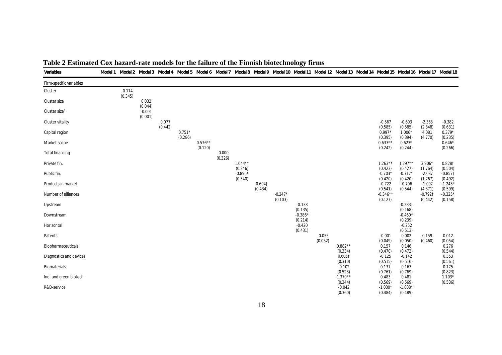| Variables                 |          |                     |         |          |           |          |                      |                       |           |                      |          |                                |                                 |                                 | Model1 Model2 Model3 Model4 Model5 Model6 Model7 Model8 Model9 Model10 Model11 Model12 Model13 Model14 Model15 Model16 Model17 Model18 |                                  |
|---------------------------|----------|---------------------|---------|----------|-----------|----------|----------------------|-----------------------|-----------|----------------------|----------|--------------------------------|---------------------------------|---------------------------------|----------------------------------------------------------------------------------------------------------------------------------------|----------------------------------|
| Firm-specific variables   |          |                     |         |          |           |          |                      |                       |           |                      |          |                                |                                 |                                 |                                                                                                                                        |                                  |
| Cluster                   | $-0.114$ |                     |         |          |           |          |                      |                       |           |                      |          |                                |                                 |                                 |                                                                                                                                        |                                  |
| Cluster size              | (0.345)  | 0.032               |         |          |           |          |                      |                       |           |                      |          |                                |                                 |                                 |                                                                                                                                        |                                  |
| Cluster size <sup>2</sup> |          | (0.044)<br>$-0.001$ |         |          |           |          |                      |                       |           |                      |          |                                |                                 |                                 |                                                                                                                                        |                                  |
| Cluster vitality          |          | (0.001)             | 0.077   |          |           |          |                      |                       |           |                      |          |                                | $-0.567$                        | $-0.603$                        | $-2.363$                                                                                                                               | $-0.382$                         |
| Capital region            |          |                     | (0.442) | $0.751*$ |           |          |                      |                       |           |                      |          |                                | (0.585)<br>$0.997*$             | (0.585)<br>$1.006*$             | (2.348)<br>4.081                                                                                                                       | (0.631)<br>$0.379*$              |
| Market scope              |          |                     |         | (0.286)  | $0.576**$ |          |                      |                       |           |                      |          |                                | (0.395)<br>$0.633**$            | (0.394)<br>$0.623*$             | (4.770)                                                                                                                                | (0.235)<br>$0.646*$              |
| Total financing           |          |                     |         |          | (0.120)   | $-0.000$ |                      |                       |           |                      |          |                                | (0.242)                         | (0.244)                         |                                                                                                                                        | (0.266)                          |
| Private fin.              |          |                     |         |          |           | (0.326)  | $1.044**$            |                       |           |                      |          |                                | $1.263**$                       | $1.297**$                       | $3.906*$                                                                                                                               | 0.828†                           |
| Public fin.               |          |                     |         |          |           |          | (0.346)<br>$-0.896*$ |                       |           |                      |          |                                | (0.423)<br>$-0.703*$            | (0.427)<br>$-0.717*$            | (1.764)<br>$-2.087$                                                                                                                    | (0.504)<br>$-0.857$ <sup>+</sup> |
| Products in market        |          |                     |         |          |           |          | (0.340)              | $-0.694$ <sup>+</sup> |           |                      |          |                                | (0.420)<br>$-0.722$             | (0.420)<br>$-0.706$             | (1.767)<br>$-1.007$                                                                                                                    | (0.492)<br>$-1.243*$             |
| Number of alliances       |          |                     |         |          |           |          |                      | (0.434)               | $-0.247*$ |                      |          |                                | (0.541)<br>$-0.346**$           | (0.544)                         | (4.371)<br>$-0.792$ <sup>+</sup>                                                                                                       | (0.599)<br>$-0.325*$             |
| Upstream                  |          |                     |         |          |           |          |                      |                       | (0.103)   | $-0.138$             |          |                                | (0.127)                         | $-0.283$ <sup>†</sup>           | (0.442)                                                                                                                                | (0.158)                          |
| Downstream                |          |                     |         |          |           |          |                      |                       |           | (0.135)<br>$-0.386*$ |          |                                |                                 | (0.168)<br>$-0.460*$            |                                                                                                                                        |                                  |
| Horizontal                |          |                     |         |          |           |          |                      |                       |           | (0.214)<br>$-0.420$  |          |                                |                                 | (0.239)<br>$-0.252$             |                                                                                                                                        |                                  |
| Patents                   |          |                     |         |          |           |          |                      |                       |           | (0.431)              | $-0.055$ |                                | $-0.001$                        | (0.513)<br>0.002                | 0.159                                                                                                                                  | 0.012                            |
| Biopharmaceuticals        |          |                     |         |          |           |          |                      |                       |           |                      | (0.052)  | $0.882**$                      | (0.049)<br>0.157                | (0.050)<br>0.146                | (0.460)                                                                                                                                | (0.054)<br>0.276                 |
| Diagnostics and devices   |          |                     |         |          |           |          |                      |                       |           |                      |          | (0.334)<br>$0.605\dagger$      | (0.470)<br>$-0.125$             | (0.472)<br>$-0.142$             |                                                                                                                                        | (0.544)<br>0.353                 |
| Biomaterials              |          |                     |         |          |           |          |                      |                       |           |                      |          | (0.310)<br>$-0.102$            | (0.515)<br>0.137                | (0.516)<br>0.167                |                                                                                                                                        | (0.561)<br>0.175                 |
| Ind. and green biotech    |          |                     |         |          |           |          |                      |                       |           |                      |          | (0.523)<br>$1.370**$           | (0.761)<br>0.483                | (0.769)<br>0.481                |                                                                                                                                        | (0.823)<br>$1.103*$              |
| R&D-service               |          |                     |         |          |           |          |                      |                       |           |                      |          | (0.344)<br>$-0.042$<br>(0.360) | (0.569)<br>$-1.030*$<br>(0.484) | (0.569)<br>$-1.008*$<br>(0.489) |                                                                                                                                        | (0.536)                          |

## **Table 2 Estimated Cox hazard-rate models for the failure of the Finnish biotechnology firms**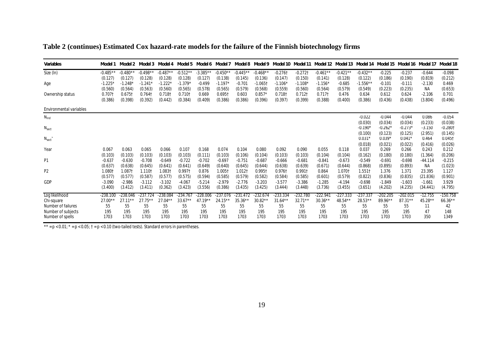## **Table 2 (continues) Estimated Cox hazard-rate models for the failure of the Finnish biotechnology firms**

| Variables                              | Model 1               | Model 2                 | Model 3                  | Model 4               | Model 5                        | Model 6                 | Model 7               |                       | Model 8 Model 9                |                          | Model 10 Model 11     | Model 12 Model 13               |                       | Model 14                        | Model 15                        | Model 16 Model 17               |                                  | Model 18                         |
|----------------------------------------|-----------------------|-------------------------|--------------------------|-----------------------|--------------------------------|-------------------------|-----------------------|-----------------------|--------------------------------|--------------------------|-----------------------|---------------------------------|-----------------------|---------------------------------|---------------------------------|---------------------------------|----------------------------------|----------------------------------|
| Size (In)                              | $-0.485**$<br>(0.127) | $-0.480**$<br>(0.127)   | $-0.498**$<br>(0.128)    | $-0.487**$<br>(0.128) | $-0.512**$<br>(0.128)          | $-3.385**$<br>(0.127)   | $-0.450**$<br>(0.138) | $-0.445**$<br>(0.145) | $-0.468**$<br>(0.136)          | $-0.276$ t<br>(0.147)    | $-0.272$ t<br>(0.150) | $-0.461**$<br>(0.141)           | $-0.421**$<br>(0.128) | $-0.432**$<br>(0.122)           | $-0.225$<br>(0.186)             | $-0.237$<br>(0.190)             | $-0.644$<br>(0.819)              | $-0.098$<br>(0.212)              |
| Age                                    | $-1.225$<br>(0.560)   | $-1.248*$<br>(0.564)    | $-1.241$<br>(0.563)      | $-1.222$<br>(0.560)   | $-1.379'$<br>(0.565)           | $-0.499$<br>(0.578)     | $-1.197$<br>(0.565)   | $-0.701$<br>(0.579)   | $-1.0651$<br>(0.568)           | $-1.106$<br>(0.559)      | $-1.108*$<br>(0.560)  | $-1.156*$<br>(0.564)            | $-0.685$<br>(0.579)   | $-1.556*$<br>(0.549)            | $-0.101$<br>(0.223)             | $-0.111$<br>(0.235)             | $-2.130$<br>ΝA                   | 0.469<br>(0.653)                 |
| Ownership status                       | 0.7071<br>(0.386)     | 0.6751<br>(0.398)       | 0.7641<br>(0.392)        | 0.7181<br>(0.442)     | 0.7101<br>(0.384)              | 0.669<br>(0.409)        | 0.6951<br>(0.386)     | 0.603<br>(0.386)      | $0.857*$<br>(0.396)            | 0.7181<br>(0.397)        | 0.7121<br>(0.399)     | $0.717$ <sup>+</sup><br>(0.388) | 0.476<br>(0.400)      | 0.634<br>(0.386)                | 0.612<br>(0.436)                | 0.624<br>(0.438)                | $-2.106$<br>(3.804)              | 0.701<br>(0.496)                 |
| Environmental variables                |                       |                         |                          |                       |                                |                         |                       |                       |                                |                          |                       |                                 |                       |                                 |                                 |                                 |                                  |                                  |
| $N_{ind}$                              |                       |                         |                          |                       |                                |                         |                       |                       |                                |                          |                       |                                 |                       | $-0.022$                        | $-0.044$                        | $-0.044$                        | 0.086                            | $-0.054$                         |
| $N_{\text{sect}}$                      |                       |                         |                          |                       |                                |                         |                       |                       |                                |                          |                       |                                 |                       | (0.030)<br>$-0.190$<br>(0.100)  | (0.034)<br>$-0.262*$<br>(0.123) | (0.034)<br>$-0.273*$<br>(0.125) | (0.233)<br>$-3.150$<br>(2.951)   | (0.038)<br>$-0.280$ t<br>(0.145) |
| $N_{\text{sect}}^{\prime}$             |                       |                         |                          |                       |                                |                         |                       |                       |                                |                          |                       |                                 |                       | $0.031*$                        | $0.039*$                        | 0.041'                          | 0.464                            | $0.045$ <sup>†</sup>             |
| Year                                   | 0.067<br>(0.103)      | 0.063<br>(0.103)        | 0.065<br>(0.103)         | 0.066<br>(0.103)      | 0.107<br>(0.103)               | 0.168<br>(0.111)        | 0.074<br>(0.103)      | 0.104<br>(0.106)      | 0.080<br>(0.104)               | 0.092<br>(0.103)         | 0.090<br>(0.103)      | 0.055<br>(0.104)                | 0.118<br>(0.104)      | (0.018)<br>0.037<br>(0.162)     | (0.021)<br>0.269<br>(0.180)     | (0.022)<br>0.266<br>(0.180)     | (0.416)<br>0.243<br>(1.364)      | (0.026)<br>0.212<br>(0.206)      |
| P <sub>1</sub>                         | $-0.637$<br>(0.637)   | $-0.630$<br>(0.638)     | $-0.708$<br>(0.645)      | $-0.649$<br>(0.641)   | $-0.722$<br>(0.641)            | $-0.702$<br>(0.649)     | $-0.697$<br>(0.640)   | $-0.751$<br>(0.645)   | $-0.687$<br>(0.644)            | $-0.666$<br>(0.638)      | $-0.681$<br>(0.639)   | $-0.841$<br>(0.671)             | $-0.673$<br>(0.644)   | $-0.549$<br>(0.868)             | $-0.691$<br>(0.895)             | $-0.698$<br>(0.893)             | $-44.114$<br>ΝA                  | $-0.215$<br>(1.023)              |
| P <sub>2</sub>                         | 1.080†<br>(0.577)     | 1.0871<br>(0.577)       | 1.1101<br>(0.587)        | $1.083 -$<br>(0.577)  | 0.9971                         | 0.876<br>(0.594)        | 1.0051<br>(0.585)     | 1.012†<br>(0.579)     | 0.9951                         | 0.9761<br>(0.584)        | 0.9911<br>(0.585)     | 0.864<br>(0.601)                | 1.0701<br>(0.579)     | $1.551$ <sup>-</sup><br>(0.822) | 1.376<br>(0.836)                | 1.371<br>(0.835)                | 23.395                           | 1.127<br>(0.901)                 |
| GDP                                    | $-3.090$<br>(3.400)   | $-2.986$<br>(3.412)     | $-3.112$<br>(3.411)      | $-3.102$<br>(0.362)   | (0.575)<br>$-4.067$<br>(3.423) | $-5.214$<br>(3.556)     | $-2.979$<br>(0.386)   | $-2.776$<br>(3.435)   | (0.582)<br>$-3.203$<br>(3.425) | $-3.577$<br>(3.444)      | $-3.386$<br>(3.448)   | $-1.285$<br>(3.736)             | $-4.194$<br>(3.455)   | $-0.698$<br>(3.651)             | $-1.849$<br>(4.202)             | $-1.603$<br>(4.235)             | (21.836)<br>$-1.661$<br>(34.441) | 3.929<br>(4.795)                 |
| Log likelihood<br>Chi-square           | $-238.100$<br>27.00** | $-238.046$<br>$27.11**$ | $-237.724$<br>$27.75***$ | $-238.084$<br>27.04*  | $-234.767$<br>$33.67**$        | $-228.006$<br>$47.19**$ | $-237.076$<br>24.15*  | -231.472<br>$35.36*$  | $-232.674$<br>30.82**          | $-233.334$<br>$31.64***$ | -232.780<br>$32.71**$ | -222.941<br>$30.36**$           | $-227.333$<br>48.54** | $-237.337$<br>28.53**           | -202.205<br>89.96**             | $-202.015$<br>87.31**           | $-12.755$<br>45.28**             | -150.758<br>$66.36**$            |
| Number of failures                     | 55                    | 55                      | 55                       | 55                    | 55                             | 55                      | 55                    | 55                    | 55                             | 55                       | 55                    | 55                              | 55                    | 55                              | 55                              | 55                              | 11                               | 42                               |
| Number of subjects<br>Number of spells | 195<br>1703           | 195<br>1703             | 195<br>1703              | 195<br>1703           | 195<br>1703                    | 195<br>1703             | 195<br>1703           | 195<br>1703           | 195<br>1703                    | 195<br>1703              | 195<br>1703           | 195<br>1703                     | 195<br>1703           | 195<br>1703                     | 195<br>1703                     | 195<br>1703                     | 47<br>350                        | 148<br>1349                      |

\*\* =  $p$  < 0.01; \* =  $p$  < 0.05;  $t = p$  < 0.10 (two-tailed tests). Standard errors in parentheses.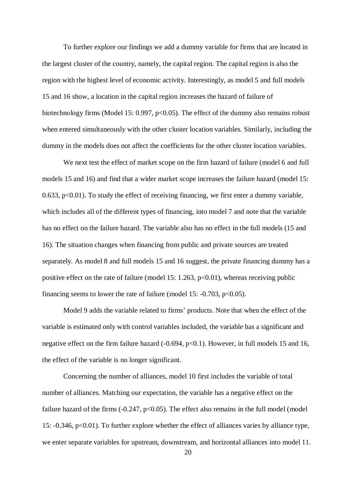To further explore our findings we add a dummy variable for firms that are located in the largest cluster of the country, namely, the capital region. The capital region is also the region with the highest level of economic activity. Interestingly, as model 5 and full models 15 and 16 show, a location in the capital region increases the hazard of failure of biotechnology firms (Model 15: 0.997, p<0.05). The effect of the dummy also remains robust when entered simultaneously with the other cluster location variables. Similarly, including the dummy in the models does not affect the coefficients for the other cluster location variables.

We next test the effect of market scope on the firm hazard of failure (model 6 and full models 15 and 16) and find that a wider market scope increases the failure hazard (model 15: 0.633, p<0.01). To study the effect of receiving financing, we first enter a dummy variable, which includes all of the different types of financing, into model 7 and note that the variable has no effect on the failure hazard. The variable also has no effect in the full models (15 and 16). The situation changes when financing from public and private sources are treated separately. As model 8 and full models 15 and 16 suggest, the private financing dummy has a positive effect on the rate of failure (model 15: 1.263,  $p<0.01$ ), whereas receiving public financing seems to lower the rate of failure (model 15:  $-0.703$ ,  $p<0.05$ ).

Model 9 adds the variable related to firms' products. Note that when the effect of the variable is estimated only with control variables included, the variable has a significant and negative effect on the firm failure hazard (-0.694, p<0.1). However, in full models 15 and 16, the effect of the variable is no longer significant.

Concerning the number of alliances, model 10 first includes the variable of total number of alliances. Matching our expectation, the variable has a negative effect on the failure hazard of the firms  $(-0.247, p<0.05)$ . The effect also remains in the full model (model) 15: -0.346, p<0.01). To further explore whether the effect of alliances varies by alliance type, we enter separate variables for upstream, downstream, and horizontal alliances into model 11.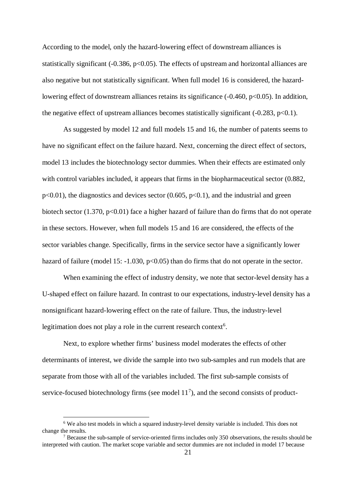<span id="page-21-1"></span><span id="page-21-0"></span>According to the model, only the hazard-lowering effect of downstream alliances is statistically significant  $(-0.386, p<0.05)$ . The effects of upstream and horizontal alliances are also negative but not statistically significant. When full model 16 is considered, the hazardlowering effect of downstream alliances retains its significance (-0.460, p<0.05). In addition, the negative effect of upstream alliances becomes statistically significant  $(-0.283, p<0.1)$ .

As suggested by model 12 and full models 15 and 16, the number of patents seems to have no significant effect on the failure hazard. Next, concerning the direct effect of sectors, model 13 includes the biotechnology sector dummies. When their effects are estimated only with control variables included, it appears that firms in the biopharmaceutical sector  $(0.882, ...)$  $p<0.01$ ), the diagnostics and devices sector (0.605,  $p<0.1$ ), and the industrial and green biotech sector  $(1.370, p<0.01)$  face a higher hazard of failure than do firms that do not operate in these sectors. However, when full models 15 and 16 are considered, the effects of the sector variables change. Specifically, firms in the service sector have a significantly lower hazard of failure (model 15:  $-1.030$ ,  $p<0.05$ ) than do firms that do not operate in the sector.

When examining the effect of industry density, we note that sector-level density has a U-shaped effect on failure hazard. In contrast to our expectations, industry-level density has a nonsignificant hazard-lowering effect on the rate of failure. Thus, the industry-level legitimation does not play a role in the current research context<sup>[6](#page-21-0)</sup>.

Next, to explore whether firms' business model moderates the effects of other determinants of interest, we divide the sample into two sub-samples and run models that are separate from those with all of the variables included. The first sub-sample consists of service-focused biotechnology firms (see model  $11<sup>7</sup>$  $11<sup>7</sup>$  $11<sup>7</sup>$ ), and the second consists of product-

<sup>&</sup>lt;sup>6</sup> We also test models in which a squared industry-level density variable is included. This does not change the results.

 $<sup>7</sup>$  Because the sub-sample of service-oriented firms includes only 350 observations, the results should be</sup> interpreted with caution. The market scope variable and sector dummies are not included in model 17 because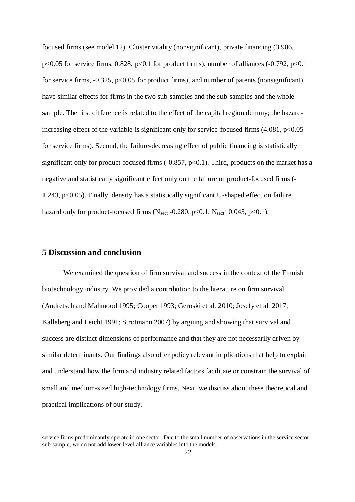focused firms (see model 12). Cluster vitality (nonsignificant), private financing (3.906, p<0.05 for service firms,  $0.828$ , p<0.1 for product firms), number of alliances (-0.792, p<0.1 for service firms,  $-0.325$ ,  $p<0.05$  for product firms), and number of patents (nonsignificant) have similar effects for firms in the two sub-samples and the sub-samples and the whole sample. The first difference is related to the effect of the capital region dummy; the hazardincreasing effect of the variable is significant only for service-focused firms  $(4.081, p<0.05$ for service firms). Second, the failure-decreasing effect of public financing is statistically significant only for product-focused firms  $(-0.857, p<0.1)$ . Third, products on the market has a negative and statistically significant effect only on the failure of product-focused firms (- 1.243, p<0.05). Finally, density has a statistically significant U-shaped effect on failure hazard only for product-focused firms (N<sub>sect</sub> -0.280, p<0.1, N<sub>sect</sub><sup>2</sup> 0.045, p<0.1).

## **5 Discussion and conclusion**

We examined the question of firm survival and success in the context of the Finnish biotechnology industry. We provided a contribution to the literature on firm survival (Audretsch and Mahmood 1995; Cooper 1993; Geroski et al. 2010; Josefy et al. 2017; Kalleberg and Leicht 1991; Strotmann 2007) by arguing and showing that survival and success are distinct dimensions of performance and that they are not necessarily driven by similar determinants. Our findings also offer policy relevant implications that help to explain and understand how the firm and industry related factors facilitate or constrain the survival of small and medium-sized high-technology firms. Next, we discuss about these theoretical and practical implications of our study.

service firms predominantly operate in one sector. Due to the small number of observations in the service sector sub-sample, we do not add lower-level alliance variables into the models.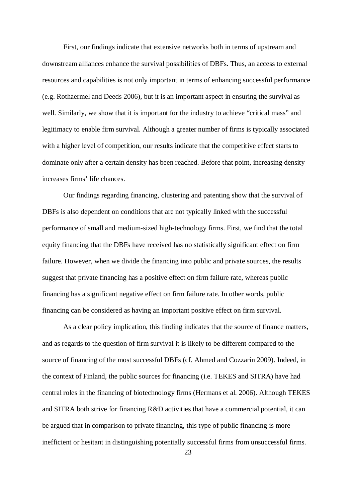First, our findings indicate that extensive networks both in terms of upstream and downstream alliances enhance the survival possibilities of DBFs. Thus, an access to external resources and capabilities is not only important in terms of enhancing successful performance (e.g. Rothaermel and Deeds 2006), but it is an important aspect in ensuring the survival as well. Similarly, we show that it is important for the industry to achieve "critical mass" and legitimacy to enable firm survival. Although a greater number of firms is typically associated with a higher level of competition, our results indicate that the competitive effect starts to dominate only after a certain density has been reached. Before that point, increasing density increases firms' life chances.

Our findings regarding financing, clustering and patenting show that the survival of DBFs is also dependent on conditions that are not typically linked with the successful performance of small and medium-sized high-technology firms. First, we find that the total equity financing that the DBFs have received has no statistically significant effect on firm failure. However, when we divide the financing into public and private sources, the results suggest that private financing has a positive effect on firm failure rate, whereas public financing has a significant negative effect on firm failure rate. In other words, public financing can be considered as having an important positive effect on firm survival.

As a clear policy implication, this finding indicates that the source of finance matters, and as regards to the question of firm survival it is likely to be different compared to the source of financing of the most successful DBFs (cf. Ahmed and Cozzarin 2009). Indeed, in the context of Finland, the public sources for financing (i.e. TEKES and SITRA) have had central roles in the financing of biotechnology firms (Hermans et al. 2006). Although TEKES and SITRA both strive for financing R&D activities that have a commercial potential, it can be argued that in comparison to private financing, this type of public financing is more inefficient or hesitant in distinguishing potentially successful firms from unsuccessful firms.

23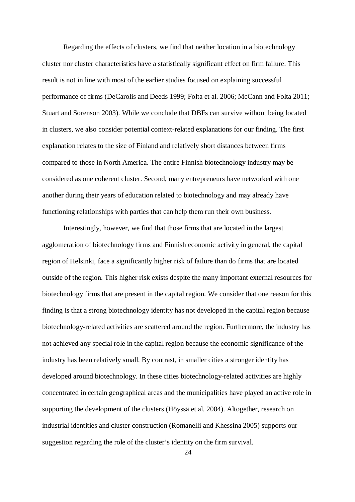Regarding the effects of clusters, we find that neither location in a biotechnology cluster nor cluster characteristics have a statistically significant effect on firm failure. This result is not in line with most of the earlier studies focused on explaining successful performance of firms (DeCarolis and Deeds 1999; Folta et al. 2006; McCann and Folta 2011; Stuart and Sorenson 2003). While we conclude that DBFs can survive without being located in clusters, we also consider potential context-related explanations for our finding. The first explanation relates to the size of Finland and relatively short distances between firms compared to those in North America. The entire Finnish biotechnology industry may be considered as one coherent cluster. Second, many entrepreneurs have networked with one another during their years of education related to biotechnology and may already have functioning relationships with parties that can help them run their own business.

Interestingly, however, we find that those firms that are located in the largest agglomeration of biotechnology firms and Finnish economic activity in general, the capital region of Helsinki, face a significantly higher risk of failure than do firms that are located outside of the region. This higher risk exists despite the many important external resources for biotechnology firms that are present in the capital region. We consider that one reason for this finding is that a strong biotechnology identity has not developed in the capital region because biotechnology-related activities are scattered around the region. Furthermore, the industry has not achieved any special role in the capital region because the economic significance of the industry has been relatively small. By contrast, in smaller cities a stronger identity has developed around biotechnology. In these cities biotechnology-related activities are highly concentrated in certain geographical areas and the municipalities have played an active role in supporting the development of the clusters (Höyssä et al. 2004). Altogether, research on industrial identities and cluster construction (Romanelli and Khessina 2005) supports our suggestion regarding the role of the cluster's identity on the firm survival.

24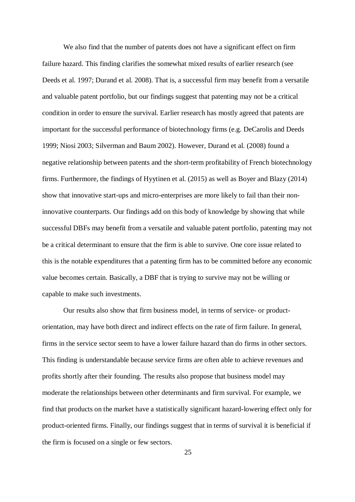We also find that the number of patents does not have a significant effect on firm failure hazard. This finding clarifies the somewhat mixed results of earlier research (see Deeds et al. 1997; Durand et al. 2008). That is, a successful firm may benefit from a versatile and valuable patent portfolio, but our findings suggest that patenting may not be a critical condition in order to ensure the survival. Earlier research has mostly agreed that patents are important for the successful performance of biotechnology firms (e.g. DeCarolis and Deeds 1999; Niosi 2003; Silverman and Baum 2002). However, Durand et al. (2008) found a negative relationship between patents and the short-term profitability of French biotechnology firms. Furthermore, the findings of Hyytinen et al. (2015) as well as Boyer and Blazy (2014) show that innovative start-ups and micro-enterprises are more likely to fail than their noninnovative counterparts. Our findings add on this body of knowledge by showing that while successful DBFs may benefit from a versatile and valuable patent portfolio, patenting may not be a critical determinant to ensure that the firm is able to survive. One core issue related to this is the notable expenditures that a patenting firm has to be committed before any economic value becomes certain. Basically, a DBF that is trying to survive may not be willing or capable to make such investments.

Our results also show that firm business model, in terms of service- or productorientation, may have both direct and indirect effects on the rate of firm failure. In general, firms in the service sector seem to have a lower failure hazard than do firms in other sectors. This finding is understandable because service firms are often able to achieve revenues and profits shortly after their founding. The results also propose that business model may moderate the relationships between other determinants and firm survival. For example, we find that products on the market have a statistically significant hazard-lowering effect only for product-oriented firms. Finally, our findings suggest that in terms of survival it is beneficial if the firm is focused on a single or few sectors.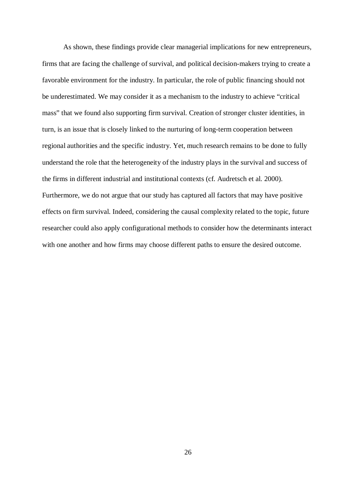As shown, these findings provide clear managerial implications for new entrepreneurs, firms that are facing the challenge of survival, and political decision-makers trying to create a favorable environment for the industry. In particular, the role of public financing should not be underestimated. We may consider it as a mechanism to the industry to achieve "critical mass" that we found also supporting firm survival. Creation of stronger cluster identities, in turn, is an issue that is closely linked to the nurturing of long-term cooperation between regional authorities and the specific industry. Yet, much research remains to be done to fully understand the role that the heterogeneity of the industry plays in the survival and success of the firms in different industrial and institutional contexts (cf. Audretsch et al. 2000). Furthermore, we do not argue that our study has captured all factors that may have positive effects on firm survival. Indeed, considering the causal complexity related to the topic, future researcher could also apply configurational methods to consider how the determinants interact with one another and how firms may choose different paths to ensure the desired outcome.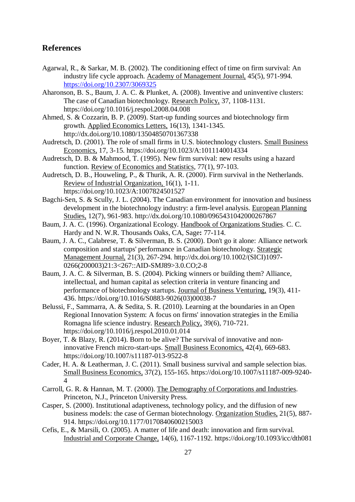## **References**

- Agarwal, R., & Sarkar, M. B. (2002). The conditioning effect of time on firm survival: An industry life cycle approach. Academy of Management Journal, 45(5), 971-994. <https://doi.org/10.2307/3069325>
- Aharonson, B. S., Baum, J. A. C. & Plunket, A. (2008). Inventive and uninventive clusters: The case of Canadian biotechnology. Research Policy, 37, 1108-1131. https://doi.org/10.1016/j.respol.2008.04.008
- Ahmed, S. & Cozzarin, B. P. (2009). Start-up funding sources and biotechnology firm growth. Applied Economics Letters, 16(13), 1341-1345. http://dx.doi.org/10.1080/13504850701367338
- Audretsch, D. (2001). The role of small firms in U.S. biotechnology clusters. Small Business Economics, 17, 3-15. https://doi.org/10.1023/A:1011140014334
- Audretsch, D. B. & Mahmood, T. (1995). New firm survival: new results using a hazard function. Review of Economics and Statistics, 77(1), 97-103.
- Audretsch, D. B., Houweling, P., & Thurik, A. R. (2000). Firm survival in the Netherlands. Review of Industrial Organization, 16(1), 1-11. https://doi.org/10.1023/A:1007824501527
- Bagchi-Sen, S. & Scully, J. L. (2004). The Canadian environment for innovation and business development in the biotechnology industry: a firm-level analysis. European Planning Studies, 12(7), 961-983. http://dx.doi.org/10.1080/0965431042000267867
- Baum, J. A. C. (1996). Organizational Ecology. Handbook of Organizations Studies. C. C. Hardy and N. W.R. Thousands Oaks, CA, Sage**:** 77-114.
- Baum, J. A. C., Calabrese, T. & Silverman, B. S. (2000). Don't go it alone: Alliance network composition and startups' performance in Canadian biotechnology. Strategic Management Journal, 21(3), 267-294. http://dx.doi.org/10.1002/(SICI)1097- 0266(200003)21:3<267::AID-SMJ89>3.0.CO;2-8
- Baum, J. A. C. & Silverman, B. S. (2004). Picking winners or building them? Alliance, intellectual, and human capital as selection criteria in venture financing and performance of biotechnology startups. Journal of Business Venturing, 19(3), 411- 436. https://doi.org/10.1016/S0883-9026(03)00038-7
- Belussi, F., Sammarra, A. & Sedita, S. R. (2010). Learning at the boundaries in an Open Regional Innovation System: A focus on firms' innovation strategies in the Emilia Romagna life science industry. Research Policy, 39(6), 710-721. https://doi.org/10.1016/j.respol.2010.01.014
- Boyer, T. & Blazy, R. (2014). Born to be alive? The survival of innovative and noninnovative French micro-start-ups. Small Business Economics, 42(4), 669-683. https://doi.org/10.1007/s11187-013-9522-8
- Cader, H. A. & Leatherman, J. C. (2011). Small business survival and sample selection bias. Small Business Economics, 37(2), 155-165. https://doi.org/10.1007/s11187-009-9240- 4
- Carroll, G. R. & Hannan, M. T. (2000). The Demography of Corporations and Industries. Princeton, N.J., Princeton University Press.
- Casper, S. (2000). Institutional adaptiveness, technology policy, and the diffusion of new business models: the case of German biotechnology. Organization Studies, 21(5), 887- 914. https://doi.org/10.1177/0170840600215003
- Cefis, E., & Marsili, O. (2005). A matter of life and death: innovation and firm survival. Industrial and Corporate Change, 14(6), 1167-1192. https://doi.org/10.1093/icc/dth081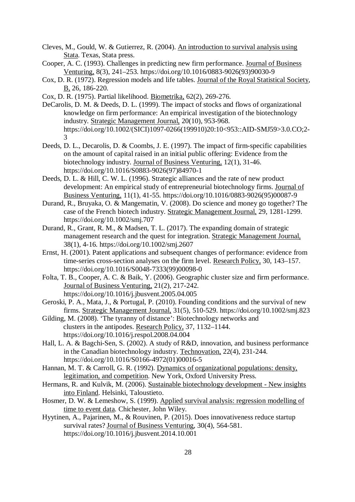- Cleves, M., Gould, W. & Gutierrez, R. (2004). An introduction to survival analysis using Stata. Texas, Stata press.
- Cooper, A. C. (1993). Challenges in predicting new firm performance. Journal of Business Venturing, 8(3), 241–253. https://doi.org/10.1016/0883-9026(93)90030-9
- Cox, D. R. (1972). Regression models and life tables. Journal of the Royal Statistical Society, B, 26, 186-220.
- Cox, D. R. (1975). Partial likelihood. Biometrika, 62(2), 269-276.
- DeCarolis, D. M. & Deeds, D. L. (1999). The impact of stocks and flows of organizational knowledge on firm performance: An empirical investigation of the biotechnology industry. Strategic Management Journal, 20(10), 953-968. https://doi.org/10.1002/(SICI)1097-0266(199910)20:10<953::AID-SMJ59>3.0.CO;2- 3
- Deeds, D. L., Decarolis, D. & Coombs, J. E. (1997). The impact of firm-specific capabilities on the amount of capital raised in an initial public offering: Evidence from the biotechnology industry. Journal of Business Venturing, 12(1), 31-46. https://doi.org/10.1016/S0883-9026(97)84970-1
- Deeds, D. L. & Hill, C. W. L. (1996). Strategic alliances and the rate of new product development: An empirical study of entrepreneurial biotechnology firms. Journal of Business Venturing, 11(1), 41-55. https://doi.org/10.1016/0883-9026(95)00087-9
- Durand, R., Bruyaka, O. & Mangematin, V. (2008). Do science and money go together? The case of the French biotech industry. Strategic Management Journal, 29, 1281-1299. https://doi.org/10.1002/smj.707
- Durand, R., Grant, R. M., & Madsen, T. L. (2017). The expanding domain of strategic management research and the quest for integration. Strategic Management Journal, 38(1), 4-16. https://doi.org/10.1002/smj.2607
- Ernst, H. (2001). Patent applications and subsequent changes of performance: evidence from time-series cross-section analyses on the firm level. Research Policy, 30, 143–157. https://doi.org/10.1016/S0048-7333(99)00098-0
- Folta, T. B., Cooper, A. C. & Baik, Y. (2006). Geographic cluster size and firm performance. Journal of Business Venturing, 21(2), 217-242. https://doi.org/10.1016/j.jbusvent.2005.04.005
- Geroski, P. A., Mata, J., & Portugal, P. (2010). Founding conditions and the survival of new firms. Strategic Management Journal, 31(5), 510-529. https://doi.org/10.1002/smj.823
- Gilding, M. (2008). 'The tyranny of distance': Biotechnology networks and clusters in the antipodes. Research Policy, 37, 1132–1144. https://doi.org/10.1016/j.respol.2008.04.004
- Hall, L. A. & Bagchi-Sen, S. (2002). A study of R&D, innovation, and business performance in the Canadian biotechnology industry. Technovation, 22(4), 231-244. https://doi.org/10.1016/S0166-4972(01)00016-5
- Hannan, M. T. & Carroll, G. R. (1992). Dynamics of organizational populations: density, legitimation, and competition. New York, Oxford University Press.
- Hermans, R. and Kulvik, M. (2006). Sustainable biotechnology development New insights into Finland. Helsinki, Taloustieto.
- Hosmer, D. W. & Lemeshow, S. (1999). Applied survival analysis: regression modelling of time to event data. Chichester, John Wiley.
- Hyytinen, A., Pajarinen, M., & Rouvinen, P. (2015). Does innovativeness reduce startup survival rates? Journal of Business Venturing, 30(4), 564-581. https://doi.org/10.1016/j.jbusvent.2014.10.001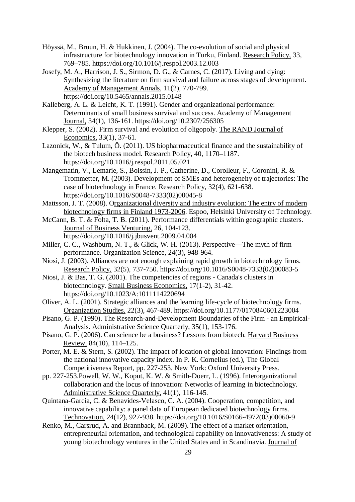Höyssä, M., Bruun, H. & Hukkinen, J. (2004). The co-evolution of social and physical infrastructure for biotechnology innovation in Turku, Finland. Research Policy, 33, 769–785. https://doi.org/10.1016/j.respol.2003.12.003

Josefy, M. A., Harrison, J. S., Sirmon, D. G., & Carnes, C. (2017). Living and dying: Synthesizing the literature on firm survival and failure across stages of development. Academy of Management Annals, 11(2), 770-799. https://doi.org/10.5465/annals.2015.0148

Kalleberg, A. L. & Leicht, K. T. (1991). Gender and organizational performance: Determinants of small business survival and success. Academy of Management Journal, 34(1), 136-161. https://doi.org/10.2307/256305

- Klepper, S. (2002). Firm survival and evolution of oligopoly. The RAND Journal of Economics, 33(1), 37-61.
- Lazonick, W., & Tulum, Ö. (2011). US biopharmaceutical finance and the sustainability of the biotech business model. Research Policy, 40, 1170–1187. https://doi.org/10.1016/j.respol.2011.05.021
- Mangematin, V., Lemarie, S., Boissin, J. P., Catherine, D., Corolleur, F., Coronini, R. & Trommetter, M. (2003). Development of SMEs and heterogeneity of trajectories: The case of biotechnology in France. Research Policy, 32(4), 621-638. https://doi.org/10.1016/S0048-7333(02)00045-8
- Mattsson, J. T. (2008). Organizational diversity and industry evolution: The entry of modern biotechnology firms in Finland 1973-2006. Espoo, Helsinki University of Technology.
- McCann, B. T. & Folta, T. B. (2011). Performance differentials within geographic clusters. Journal of Business Venturing, 26, 104-123.
- https://doi.org/10.1016/j.jbusvent.2009.04.004 Miller, C. C., Washburn, N. T., & Glick, W. H. (2013). Perspective—The myth of firm
- performance. Organization Science, 24(3), 948-964.
- Niosi, J. (2003). Alliances are not enough explaining rapid growth in biotechnology firms. Research Policy, 32(5), 737-750. https://doi.org/10.1016/S0048-7333(02)00083-5
- Niosi, J. & Bas, T. G. (2001). The competencies of regions Canada's clusters in biotechnology. Small Business Economics, 17(1-2), 31-42. https://doi.org/10.1023/A:1011114220694
- Oliver, A. L. (2001). Strategic alliances and the learning life-cycle of biotechnology firms. Organization Studies, 22(3), 467-489. https://doi.org/10.1177/0170840601223004
- Pisano, G. P. (1990). The Research-and-Development Boundaries of the Firm an Empirical-Analysis. Administrative Science Quarterly, 35(1), 153-176.
- Pisano, G. P. (2006). Can science be a business? Lessons from biotech. Harvard Business Review, 84(10), 114–125.
- Porter, M. E. & Stern, S. (2002). The impact of location of global innovation: Findings from the national innovative capacity index. In P. K. Cornelius (ed.), The Global Competitiveness Report, pp. 227-253. New York: Oxford University Press.
- pp. 227-253.Powell, W. W., Koput, K. W. & Smith-Doerr, L. (1996). Interorganizational collaboration and the locus of innovation: Networks of learning in biotechnology. Administrative Science Quarterly, 41(1), 116-145.
- Quintana-Garcia, C. & Benavides-Velasco, C. A. (2004). Cooperation, competition, and innovative capability: a panel data of European dedicated biotechnology firms. Technovation, 24(12), 927-938. https://doi.org/10.1016/S0166-4972(03)00060-9
- Renko, M., Carsrud, A. and Brannback, M. (2009). The effect of a market orientation, entrepreneurial orientation, and technological capability on innovativeness: A study of young biotechnology ventures in the United States and in Scandinavia. Journal of